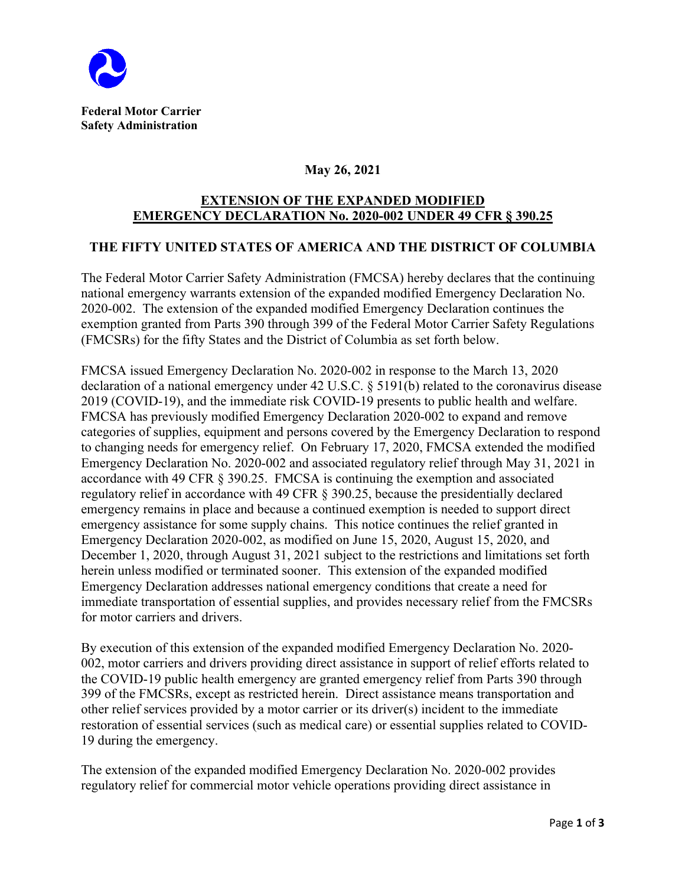

## **May 26, 2021**

## **EXTENSION OF THE EXPANDED MODIFIED EMERGENCY DECLARATION No. 2020-002 UNDER 49 CFR § 390.25**

## **THE FIFTY UNITED STATES OF AMERICA AND THE DISTRICT OF COLUMBIA**

The Federal Motor Carrier Safety Administration (FMCSA) hereby declares that the continuing national emergency warrants extension of the expanded modified Emergency Declaration No. 2020-002. The extension of the expanded modified Emergency Declaration continues the exemption granted from Parts 390 through 399 of the Federal Motor Carrier Safety Regulations (FMCSRs) for the fifty States and the District of Columbia as set forth below.

FMCSA issued Emergency Declaration No. 2020-002 in response to the March 13, 2020 declaration of a national emergency under 42 U.S.C. § 5191(b) related to the coronavirus disease 2019 (COVID-19), and the immediate risk COVID-19 presents to public health and welfare. FMCSA has previously modified Emergency Declaration 2020-002 to expand and remove categories of supplies, equipment and persons covered by the Emergency Declaration to respond to changing needs for emergency relief. On February 17, 2020, FMCSA extended the modified Emergency Declaration No. 2020-002 and associated regulatory relief through May 31, 2021 in accordance with 49 CFR § 390.25. FMCSA is continuing the exemption and associated regulatory relief in accordance with 49 CFR § 390.25, because the presidentially declared emergency remains in place and because a continued exemption is needed to support direct emergency assistance for some supply chains. This notice continues the relief granted in Emergency Declaration 2020-002, as modified on June 15, 2020, August 15, 2020, and December 1, 2020, through August 31, 2021 subject to the restrictions and limitations set forth herein unless modified or terminated sooner. This extension of the expanded modified Emergency Declaration addresses national emergency conditions that create a need for immediate transportation of essential supplies, and provides necessary relief from the FMCSRs for motor carriers and drivers.

By execution of this extension of the expanded modified Emergency Declaration No. 2020- 002, motor carriers and drivers providing direct assistance in support of relief efforts related to the COVID-19 public health emergency are granted emergency relief from Parts 390 through 399 of the FMCSRs, except as restricted herein. Direct assistance means transportation and other relief services provided by a motor carrier or its driver(s) incident to the immediate restoration of essential services (such as medical care) or essential supplies related to COVID-19 during the emergency.

The extension of the expanded modified Emergency Declaration No. 2020-002 provides regulatory relief for commercial motor vehicle operations providing direct assistance in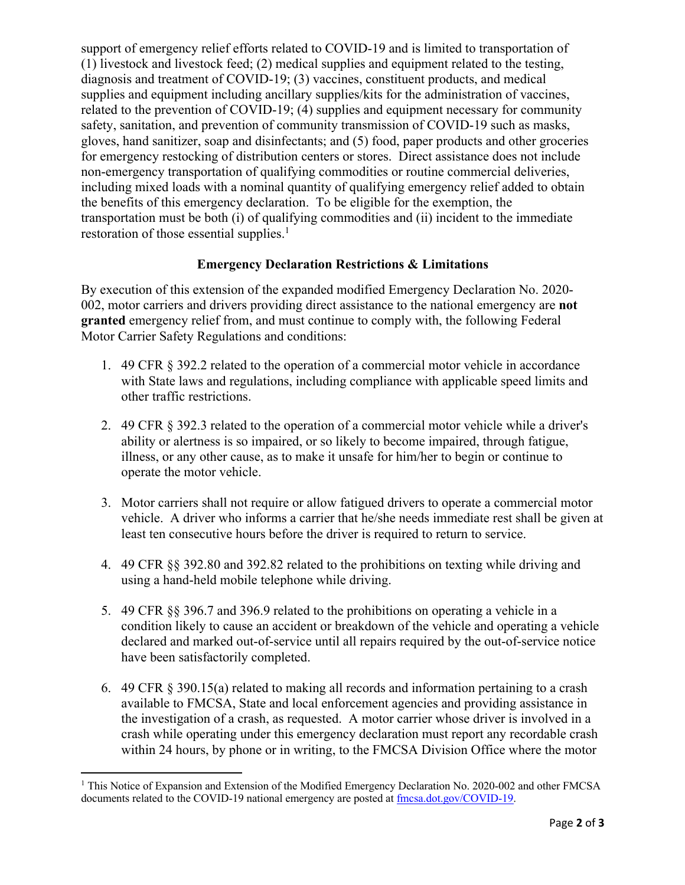support of emergency relief efforts related to COVID-19 and is limited to transportation of (1) livestock and livestock feed; (2) medical supplies and equipment related to the testing, diagnosis and treatment of COVID-19; (3) vaccines, constituent products, and medical supplies and equipment including ancillary supplies/kits for the administration of vaccines, related to the prevention of COVID-19; (4) supplies and equipment necessary for community safety, sanitation, and prevention of community transmission of COVID-19 such as masks, gloves, hand sanitizer, soap and disinfectants; and (5) food, paper products and other groceries for emergency restocking of distribution centers or stores. Direct assistance does not include non-emergency transportation of qualifying commodities or routine commercial deliveries, including mixed loads with a nominal quantity of qualifying emergency relief added to obtain the benefits of this emergency declaration. To be eligible for the exemption, the transportation must be both (i) of qualifying commodities and (ii) incident to the immediate restoration of those essential supplies. $<sup>1</sup>$ </sup>

## **Emergency Declaration Restrictions & Limitations**

By execution of this extension of the expanded modified Emergency Declaration No. 2020- 002, motor carriers and drivers providing direct assistance to the national emergency are **not granted** emergency relief from, and must continue to comply with, the following Federal Motor Carrier Safety Regulations and conditions:

- 1. 49 CFR § 392.2 related to the operation of a commercial motor vehicle in accordance with State laws and regulations, including compliance with applicable speed limits and other traffic restrictions.
- 2. 49 CFR § 392.3 related to the operation of a commercial motor vehicle while a driver's ability or alertness is so impaired, or so likely to become impaired, through fatigue, illness, or any other cause, as to make it unsafe for him/her to begin or continue to operate the motor vehicle.
- 3. Motor carriers shall not require or allow fatigued drivers to operate a commercial motor vehicle. A driver who informs a carrier that he/she needs immediate rest shall be given at least ten consecutive hours before the driver is required to return to service.
- 4. 49 CFR §§ 392.80 and 392.82 related to the prohibitions on texting while driving and using a hand-held mobile telephone while driving.
- 5. 49 CFR §§ 396.7 and 396.9 related to the prohibitions on operating a vehicle in a condition likely to cause an accident or breakdown of the vehicle and operating a vehicle declared and marked out-of-service until all repairs required by the out-of-service notice have been satisfactorily completed.
- 6. 49 CFR § 390.15(a) related to making all records and information pertaining to a crash available to FMCSA, State and local enforcement agencies and providing assistance in the investigation of a crash, as requested. A motor carrier whose driver is involved in a crash while operating under this emergency declaration must report any recordable crash within 24 hours, by phone or in writing, to the FMCSA Division Office where the motor

<sup>&</sup>lt;sup>1</sup> This Notice of Expansion and Extension of the Modified Emergency Declaration No. 2020-002 and other FMCSA documents related to the COVID-19 national emergency are posted at  $\frac{f_{\text{mcsa}}}{d}$ .dot.gov/COVID-19.